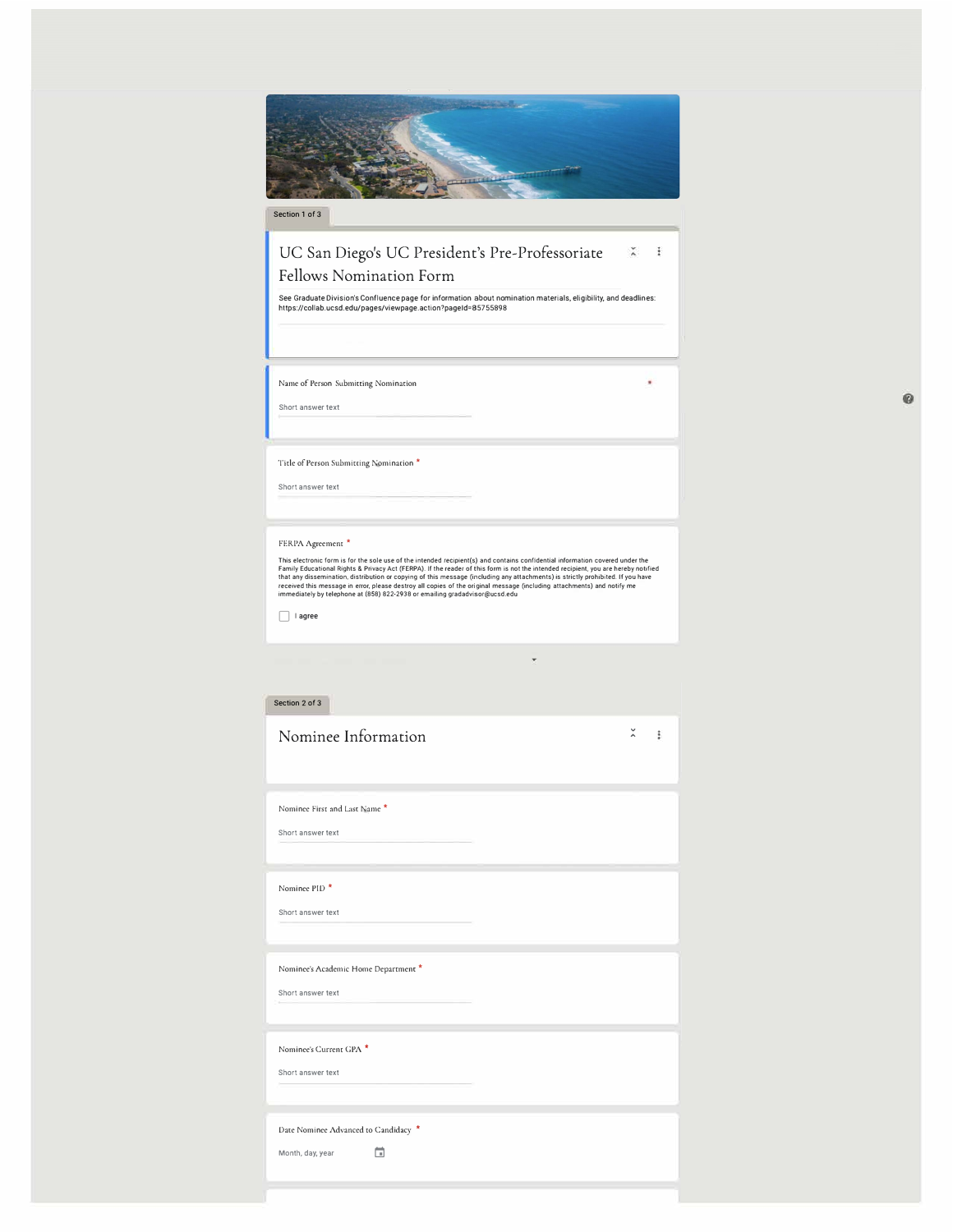| Section 1 of 3                                                                                                                                                                                                                                                                                                                                                                                                                                                                                                                                                                                                                                   |   |
|--------------------------------------------------------------------------------------------------------------------------------------------------------------------------------------------------------------------------------------------------------------------------------------------------------------------------------------------------------------------------------------------------------------------------------------------------------------------------------------------------------------------------------------------------------------------------------------------------------------------------------------------------|---|
| UC San Diego's UC President's Pre-Professoriate<br>Fellows Nomination Form<br>See Graduate Division's Confluence page for information about nomination materials, eligibility, and deadlines:<br>https://collab.ucsd.edu/pages/viewpage.action?pageId=85755898                                                                                                                                                                                                                                                                                                                                                                                   | ÷ |
| Name of Person Submitting Nomination<br>Short answer text                                                                                                                                                                                                                                                                                                                                                                                                                                                                                                                                                                                        |   |
| Title of Person Submitting Nomination *<br>Short answer text                                                                                                                                                                                                                                                                                                                                                                                                                                                                                                                                                                                     |   |
| FERPA Agreement *<br>This electronic form is for the sole use of the intended recipient(s) and contains confidential information covered under the<br>Family Educational Rights & Privacy Act (FERPA). If the reader of this form is not the intended recipient, you are hereby notified<br>that any dissemination, distribution or copying of this message (including any attachments) is strictly prohibited. If you have<br>received this message in error, please destroy all copies of the original message (including attachments) and notify me<br>immediately by telephone at (858) 822-2938 or emailing gradadvisor@ucsd.edu<br>l agree |   |
| Section 2 of 3                                                                                                                                                                                                                                                                                                                                                                                                                                                                                                                                                                                                                                   |   |
| Nominee Information<br>ž                                                                                                                                                                                                                                                                                                                                                                                                                                                                                                                                                                                                                         | ŧ |
| Nominee First and Last Name *<br>Short answer text                                                                                                                                                                                                                                                                                                                                                                                                                                                                                                                                                                                               |   |
| Nominee PID <sup>*</sup><br>Short answer text                                                                                                                                                                                                                                                                                                                                                                                                                                                                                                                                                                                                    |   |
| Nominee's Academic Home Department *<br>Short answer text                                                                                                                                                                                                                                                                                                                                                                                                                                                                                                                                                                                        |   |
| Nominee's Current GPA *<br>Short answer text                                                                                                                                                                                                                                                                                                                                                                                                                                                                                                                                                                                                     |   |

Date Nominee Advanced to Candidacy \*

Month, day, year